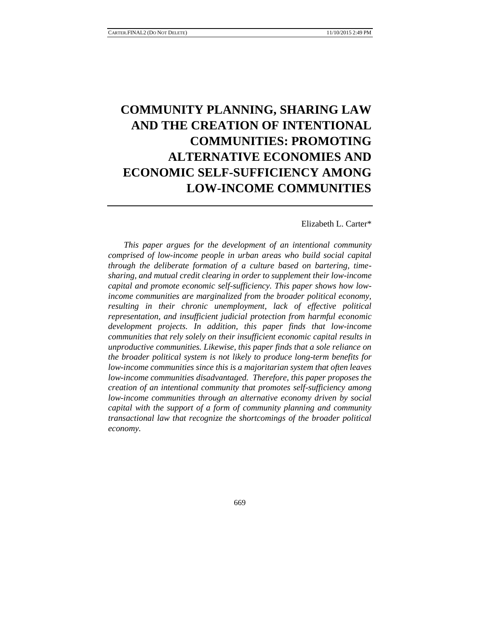# **COMMUNITY PLANNING, SHARING LAW AND THE CREATION OF INTENTIONAL COMMUNITIES: PROMOTING ALTERNATIVE ECONOMIES AND ECONOMIC SELF-SUFFICIENCY AMONG LOW-INCOME COMMUNITIES**

Elizabeth L. Carter\*

*This paper argues for the development of an intentional community comprised of low-income people in urban areas who build social capital through the deliberate formation of a culture based on bartering, timesharing, and mutual credit clearing in order to supplement their low-income capital and promote economic self-sufficiency. This paper shows how lowincome communities are marginalized from the broader political economy, resulting in their chronic unemployment, lack of effective political representation, and insufficient judicial protection from harmful economic development projects. In addition, this paper finds that low-income communities that rely solely on their insufficient economic capital results in unproductive communities. Likewise, this paper finds that a sole reliance on the broader political system is not likely to produce long-term benefits for low-income communities since this is a majoritarian system that often leaves low-income communities disadvantaged. Therefore, this paper proposes the creation of an intentional community that promotes self-sufficiency among low-income communities through an alternative economy driven by social capital with the support of a form of community planning and community transactional law that recognize the shortcomings of the broader political economy.*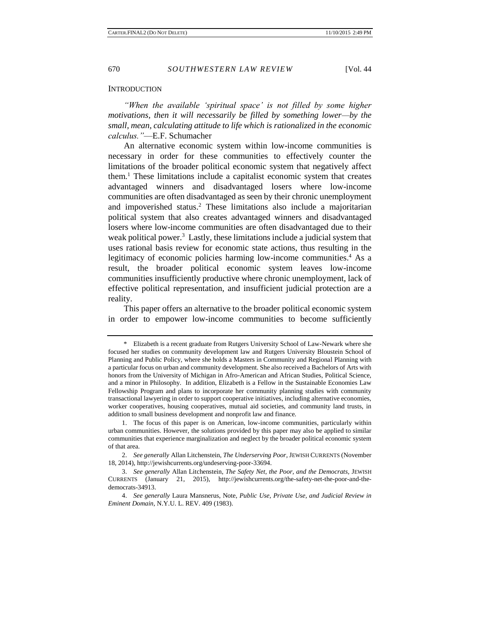#### **INTRODUCTION**

*"When the available 'spiritual space' is not filled by some higher motivations, then it will necessarily be filled by something lower—by the small, mean, calculating attitude to life which is rationalized in the economic calculus."*—E.F. Schumacher

An alternative economic system within low-income communities is necessary in order for these communities to effectively counter the limitations of the broader political economic system that negatively affect them.<sup>1</sup> These limitations include a capitalist economic system that creates advantaged winners and disadvantaged losers where low-income communities are often disadvantaged as seen by their chronic unemployment and impoverished status.<sup>2</sup> These limitations also include a majoritarian political system that also creates advantaged winners and disadvantaged losers where low-income communities are often disadvantaged due to their weak political power.<sup>3</sup> Lastly, these limitations include a judicial system that uses rational basis review for economic state actions, thus resulting in the legitimacy of economic policies harming low-income communities.<sup>4</sup> As a result, the broader political economic system leaves low-income communities insufficiently productive where chronic unemployment, lack of effective political representation, and insufficient judicial protection are a reality.

This paper offers an alternative to the broader political economic system in order to empower low-income communities to become sufficiently

<sup>\*</sup> Elizabeth is a recent graduate from Rutgers University School of Law-Newark where she focused her studies on community development law and Rutgers University Bloustein School of Planning and Public Policy, where she holds a Masters in Community and Regional Planning with a particular focus on urban and community development. She also received a Bachelors of Arts with honors from the University of Michigan in Afro-American and African Studies, Political Science, and a minor in Philosophy. In addition, Elizabeth is a Fellow in the Sustainable Economies Law Fellowship Program and plans to incorporate her community planning studies with community transactional lawyering in order to support cooperative initiatives, including alternative economies, worker cooperatives, housing cooperatives, mutual aid societies, and community land trusts, in addition to small business development and nonprofit law and finance.

<sup>1.</sup> The focus of this paper is on American, low-income communities, particularly within urban communities. However, the solutions provided by this paper may also be applied to similar communities that experience marginalization and neglect by the broader political economic system of that area.

<sup>2.</sup> *See generally* Allan Litchenstein, *The Underserving Poor,* JEWISH CURRENTS (November 18, 2014), http://jewishcurrents.org/undeserving-poor-33694.

<sup>3.</sup> *See generally* Allan Litchenstein, *The Safety Net, the Poor, and the Democrats,* JEWISH CURRENTS (January 21, 2015), http://jewishcurrents.org/the-safety-net-the-poor-and-thedemocrats-34913.

<sup>4.</sup> *See generally* Laura Mansnerus, Note, *Public Use, Private Use, and Judicial Review in Eminent Domain,* N.Y.U. L. REV. 409 (1983).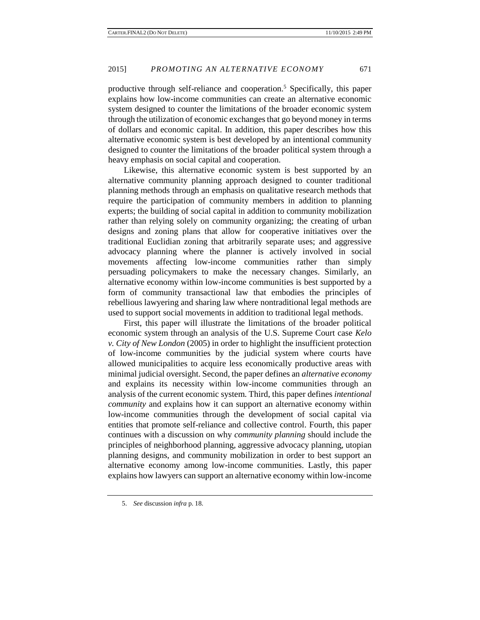productive through self-reliance and cooperation.<sup>5</sup> Specifically, this paper explains how low-income communities can create an alternative economic system designed to counter the limitations of the broader economic system through the utilization of economic exchanges that go beyond money in terms of dollars and economic capital. In addition, this paper describes how this alternative economic system is best developed by an intentional community designed to counter the limitations of the broader political system through a heavy emphasis on social capital and cooperation.

Likewise, this alternative economic system is best supported by an alternative community planning approach designed to counter traditional planning methods through an emphasis on qualitative research methods that require the participation of community members in addition to planning experts; the building of social capital in addition to community mobilization rather than relying solely on community organizing; the creating of urban designs and zoning plans that allow for cooperative initiatives over the traditional Euclidian zoning that arbitrarily separate uses; and aggressive advocacy planning where the planner is actively involved in social movements affecting low-income communities rather than simply persuading policymakers to make the necessary changes. Similarly, an alternative economy within low-income communities is best supported by a form of community transactional law that embodies the principles of rebellious lawyering and sharing law where nontraditional legal methods are used to support social movements in addition to traditional legal methods.

First, this paper will illustrate the limitations of the broader political economic system through an analysis of the U.S. Supreme Court case *Kelo v. City of New London* (2005) in order to highlight the insufficient protection of low-income communities by the judicial system where courts have allowed municipalities to acquire less economically productive areas with minimal judicial oversight. Second, the paper defines an *alternative economy* and explains its necessity within low-income communities through an analysis of the current economic system. Third, this paper defines *intentional community* and explains how it can support an alternative economy within low-income communities through the development of social capital via entities that promote self-reliance and collective control. Fourth, this paper continues with a discussion on why *community planning* should include the principles of neighborhood planning, aggressive advocacy planning, utopian planning designs, and community mobilization in order to best support an alternative economy among low-income communities. Lastly, this paper explains how lawyers can support an alternative economy within low-income

<sup>5.</sup> *See* discussion *infra* p. 18.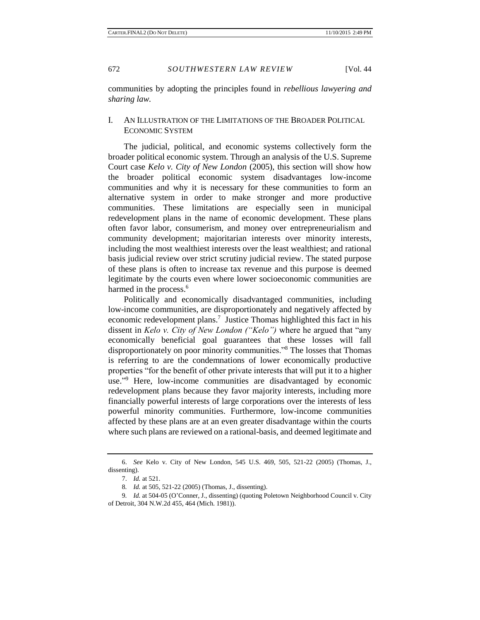communities by adopting the principles found in *rebellious lawyering and sharing law.*

## I. AN ILLUSTRATION OF THE LIMITATIONS OF THE BROADER POLITICAL ECONOMIC SYSTEM

The judicial, political, and economic systems collectively form the broader political economic system. Through an analysis of the U.S. Supreme Court case *Kelo v. City of New London* (2005), this section will show how the broader political economic system disadvantages low-income communities and why it is necessary for these communities to form an alternative system in order to make stronger and more productive communities. These limitations are especially seen in municipal redevelopment plans in the name of economic development. These plans often favor labor, consumerism, and money over entrepreneurialism and community development; majoritarian interests over minority interests, including the most wealthiest interests over the least wealthiest; and rational basis judicial review over strict scrutiny judicial review. The stated purpose of these plans is often to increase tax revenue and this purpose is deemed legitimate by the courts even where lower socioeconomic communities are harmed in the process.<sup>6</sup>

Politically and economically disadvantaged communities, including low-income communities, are disproportionately and negatively affected by economic redevelopment plans.<sup>7</sup> Justice Thomas highlighted this fact in his dissent in *Kelo v. City of New London ("Kelo")* where he argued that "any economically beneficial goal guarantees that these losses will fall disproportionately on poor minority communities."<sup>8</sup> The losses that Thomas is referring to are the condemnations of lower economically productive properties "for the benefit of other private interests that will put it to a higher use." <sup>9</sup> Here, low-income communities are disadvantaged by economic redevelopment plans because they favor majority interests, including more financially powerful interests of large corporations over the interests of less powerful minority communities. Furthermore, low-income communities affected by these plans are at an even greater disadvantage within the courts where such plans are reviewed on a rational-basis, and deemed legitimate and

<sup>6.</sup> *See* Kelo v. City of New London, 545 U.S. 469, 505, 521-22 (2005) (Thomas, J., dissenting).

<sup>7.</sup> *Id.* at 521.

<sup>8</sup>*. Id.* at 505, 521-22 (2005) (Thomas, J., dissenting).

<sup>9</sup>*. Id.* at 504-05 (O'Conner, J., dissenting) (quoting Poletown Neighborhood Council v. City of Detroit, 304 N.W.2d 455, 464 (Mich. 1981)).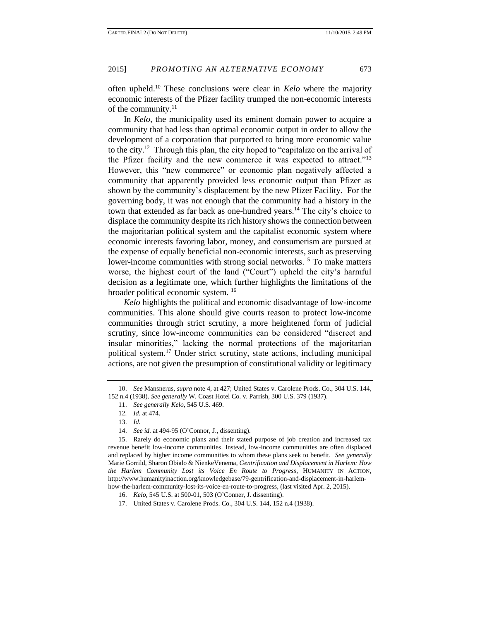often upheld.<sup>10</sup> These conclusions were clear in *Kelo* where the majority economic interests of the Pfizer facility trumped the non-economic interests of the community.<sup>11</sup>

In *Kelo*, the municipality used its eminent domain power to acquire a community that had less than optimal economic output in order to allow the development of a corporation that purported to bring more economic value to the city.<sup>12</sup> Through this plan, the city hoped to "capitalize on the arrival of the Pfizer facility and the new commerce it was expected to attract."<sup>13</sup> However, this "new commerce" or economic plan negatively affected a community that apparently provided less economic output than Pfizer as shown by the community's displacement by the new Pfizer Facility. For the governing body, it was not enough that the community had a history in the town that extended as far back as one-hundred years.<sup>14</sup> The city's choice to displace the community despite its rich history shows the connection between the majoritarian political system and the capitalist economic system where economic interests favoring labor, money, and consumerism are pursued at the expense of equally beneficial non-economic interests, such as preserving lower-income communities with strong social networks.<sup>15</sup> To make matters worse, the highest court of the land ("Court") upheld the city's harmful decision as a legitimate one, which further highlights the limitations of the broader political economic system. <sup>16</sup>

*Kelo* highlights the political and economic disadvantage of low-income communities. This alone should give courts reason to protect low-income communities through strict scrutiny, a more heightened form of judicial scrutiny, since low-income communities can be considered "discreet and insular minorities," lacking the normal protections of the majoritarian political system.<sup>17</sup> Under strict scrutiny, state actions, including municipal actions, are not given the presumption of constitutional validity or legitimacy

<sup>10.</sup> *See* Mansnerus, *supra* note 4, at 427; United States v. Carolene Prods. Co., 304 U.S. 144, 152 n.4 (1938). *See generally* W. Coast Hotel Co. v. Parrish, 300 U.S. 379 (1937).

<sup>11.</sup> *See generally Kelo,* 545 U.S. 469.

<sup>12</sup>*. Id.* at 474.

<sup>13.</sup> *Id.*

<sup>14.</sup> *See id.* at 494-95 (O'Connor, J., dissenting).

<sup>15.</sup> Rarely do economic plans and their stated purpose of job creation and increased tax revenue benefit low-income communities. Instead, low-income communities are often displaced and replaced by higher income communities to whom these plans seek to benefit. *See generally* Marie Gorrild, Sharon Obialo & NienkeVenema, *Gentrification and Displacement in Harlem: How the Harlem Community Lost its Voice En Route to Progress*, HUMANITY IN ACTION, http://www.humanityinaction.org/knowledgebase/79-gentrification-and-displacement-in-harlemhow-the-harlem-community-lost-its-voice-en-route-to-progress, (last visited Apr. 2, 2015).

<sup>16.</sup> *Kelo,* 545 U.S. at 500-01, 503 (O'Conner, J. dissenting).

<sup>17.</sup> United States v. Carolene Prods. Co., 304 U.S. 144, 152 n.4 (1938).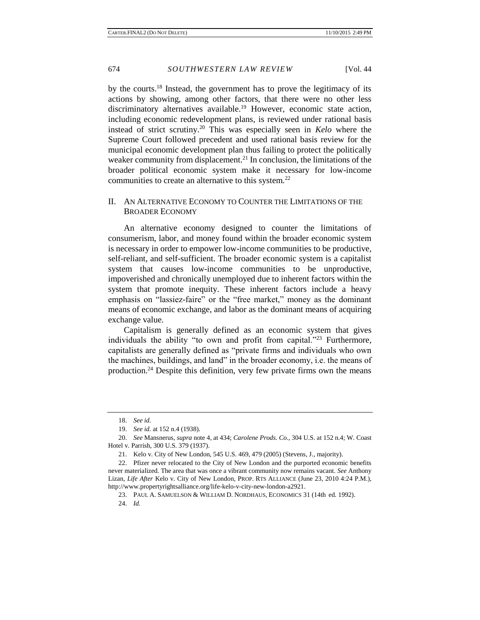by the courts.<sup>18</sup> Instead, the government has to prove the legitimacy of its actions by showing, among other factors, that there were no other less discriminatory alternatives available.<sup>19</sup> However, economic state action, including economic redevelopment plans, is reviewed under rational basis instead of strict scrutiny.<sup>20</sup> This was especially seen in *Kelo* where the Supreme Court followed precedent and used rational basis review for the municipal economic development plan thus failing to protect the politically weaker community from displacement.<sup>21</sup> In conclusion, the limitations of the broader political economic system make it necessary for low-income communities to create an alternative to this system.<sup>22</sup>

#### II. AN ALTERNATIVE ECONOMY TO COUNTER THE LIMITATIONS OF THE BROADER ECONOMY

An alternative economy designed to counter the limitations of consumerism, labor, and money found within the broader economic system is necessary in order to empower low-income communities to be productive, self-reliant, and self-sufficient. The broader economic system is a capitalist system that causes low-income communities to be unproductive, impoverished and chronically unemployed due to inherent factors within the system that promote inequity. These inherent factors include a heavy emphasis on "lassiez-faire" or the "free market," money as the dominant means of economic exchange, and labor as the dominant means of acquiring exchange value.

Capitalism is generally defined as an economic system that gives individuals the ability "to own and profit from capital."<sup>23</sup> Furthermore, capitalists are generally defined as "private firms and individuals who own the machines, buildings, and land" in the broader economy, i.e. the means of production.<sup>24</sup> Despite this definition, very few private firms own the means

<sup>18.</sup> *See id.*

<sup>19.</sup> *See id.* at 152 n.4 (1938).

<sup>20.</sup> *See* Mansnerus, *supra* note 4, at 434; *Carolene Prods. Co.*, 304 U.S. at 152 n.4; W. Coast Hotel v. Parrish, 300 U.S. 379 (1937).

<sup>21.</sup> Kelo v. City of New London, 545 U.S. 469, 479 (2005) (Stevens, J., majority).

<sup>22.</sup> Pfizer never relocated to the City of New London and the purported economic benefits never materialized. The area that was once a vibrant community now remains vacant. *See* Anthony Lizan, *Life After* Kelo v. City of New London*,* PROP. RTS ALLIANCE (June 23, 2010 4:24 P.M.), http://www.propertyrightsalliance.org/life-kelo-v-city-new-london-a2921.

<sup>23.</sup> PAUL A. SAMUELSON & WILLIAM D. NORDHAUS*,* ECONOMICS 31 (14th ed. 1992).

<sup>24.</sup> *Id.*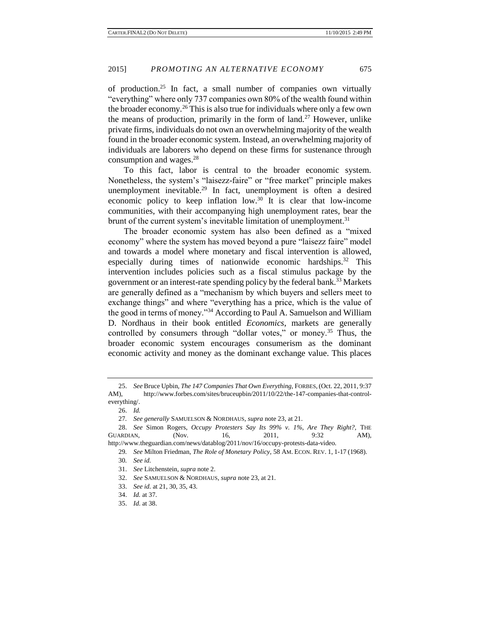of production.<sup>25</sup> In fact, a small number of companies own virtually "everything" where only 737 companies own 80% of the wealth found within the broader economy.<sup>26</sup> This is also true for individuals where only a few own the means of production, primarily in the form of land.<sup>27</sup> However, unlike private firms, individuals do not own an overwhelming majority of the wealth found in the broader economic system. Instead, an overwhelming majority of individuals are laborers who depend on these firms for sustenance through consumption and wages.<sup>28</sup>

To this fact, labor is central to the broader economic system. Nonetheless, the system's "laisezz-faire" or "free market" principle makes unemployment inevitable.<sup>29</sup> In fact, unemployment is often a desired economic policy to keep inflation low.<sup>30</sup> It is clear that low-income communities, with their accompanying high unemployment rates, bear the brunt of the current system's inevitable limitation of unemployment.<sup>31</sup>

The broader economic system has also been defined as a "mixed economy" where the system has moved beyond a pure "laisezz faire" model and towards a model where monetary and fiscal intervention is allowed, especially during times of nationwide economic hardships.<sup>32</sup> This intervention includes policies such as a fiscal stimulus package by the government or an interest-rate spending policy by the federal bank.<sup>33</sup> Markets are generally defined as a "mechanism by which buyers and sellers meet to exchange things" and where "everything has a price, which is the value of the good in terms of money."<sup>34</sup> According to Paul A. Samuelson and William D. Nordhaus in their book entitled *Economics*, markets are generally controlled by consumers through "dollar votes," or money.<sup>35</sup> Thus, the broader economic system encourages consumerism as the dominant economic activity and money as the dominant exchange value. This places

<sup>25.</sup> *See* Bruce Upbin, *The 147 Companies That Own Everything,* FORBES, (Oct. 22, 2011, 9:37 AM), http://www.forbes.com/sites/bruceupbin/2011/10/22/the-147-companies-that-controleverything/.

<sup>26.</sup> *Id.*

<sup>27</sup>*. See generally* SAMUELSON & NORDHAUS*, supra* note 23, at 21.

<sup>28.</sup> *See* Simon Rogers, *Occupy Protesters Say Its 99% v. 1%, Are They Right?,* THE GUARDIAN, (Nov. 16, 2011, 9:32 AM), http://www.theguardian.com/news/datablog/2011/nov/16/occupy-protests-data-video.

<sup>29</sup>*. See* Milton Friedman, *The Role of Monetary Policy,* 58 AM. ECON. REV. 1, 1-17 (1968).

<sup>30</sup>*. See id.*

<sup>31.</sup> *See* Litchenstein, *supra* note 2.

<sup>32.</sup> *See* SAMUELSON & NORDHAUS*, supra* note 23, at 21.

<sup>33.</sup> *See id.* at 21, 30, 35, 43.

<sup>34.</sup> *Id.* at 37.

<sup>35.</sup> *Id*. at 38.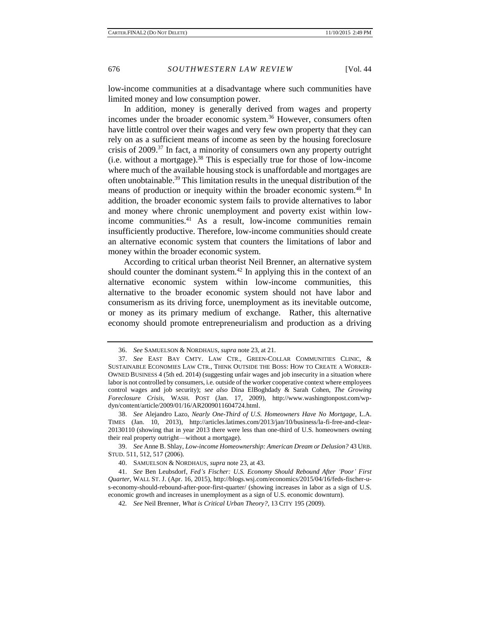low-income communities at a disadvantage where such communities have limited money and low consumption power.

In addition, money is generally derived from wages and property incomes under the broader economic system.<sup>36</sup> However, consumers often have little control over their wages and very few own property that they can rely on as a sufficient means of income as seen by the housing foreclosure crisis of 2009.<sup>37</sup> In fact, a minority of consumers own any property outright (i.e. without a mortgage).<sup>38</sup> This is especially true for those of low-income where much of the available housing stock is unaffordable and mortgages are often unobtainable.<sup>39</sup> This limitation results in the unequal distribution of the means of production or inequity within the broader economic system.<sup>40</sup> In addition, the broader economic system fails to provide alternatives to labor and money where chronic unemployment and poverty exist within lowincome communities.<sup>41</sup> As a result, low-income communities remain insufficiently productive. Therefore, low-income communities should create an alternative economic system that counters the limitations of labor and money within the broader economic system.

According to critical urban theorist Neil Brenner, an alternative system should counter the dominant system.<sup>42</sup> In applying this in the context of an alternative economic system within low-income communities, this alternative to the broader economic system should not have labor and consumerism as its driving force, unemployment as its inevitable outcome, or money as its primary medium of exchange. Rather, this alternative economy should promote entrepreneurialism and production as a driving

39. *See* Anne B. Shlay, *Low-income Homeownership: American Dream or Delusion?* 43 URB. STUD. 511, 512, 517 (2006).

<sup>36.</sup> *See* SAMUELSON & NORDHAUS*, supra* note 23, at 21.

<sup>37.</sup> *See* EAST BAY CMTY. LAW CTR., GREEN-COLLAR COMMUNITIES CLINIC, & SUSTAINABLE ECONOMIES LAW CTR., THINK OUTSIDE THE BOSS: HOW TO CREATE A WORKER-OWNED BUSINESS 4 (5th ed. 2014) (suggesting unfair wages and job insecurity in a situation where labor is not controlled by consumers, i.e. outside of the worker cooperative context where employees control wages and job security); *see also* Dina ElBoghdady & Sarah Cohen, *The Growing Foreclosure Crisis,* WASH. POST (Jan. 17, 2009), http://www.washingtonpost.com/wpdyn/content/article/2009/01/16/AR2009011604724.html.

<sup>38.</sup> *See* Alejandro Lazo, *Nearly One-Third of U.S. Homeowners Have No Mortgage,* L.A. TIMES (Jan. 10, 2013), http://articles.latimes.com/2013/jan/10/business/la-fi-free-and-clear-20130110 (showing that in year 2013 there were less than one-third of U.S. homeowners owning their real property outright—without a mortgage).

<sup>40.</sup> SAMUELSON & NORDHAUS*, supra* note 23, at 43.

<sup>41.</sup> *See* Ben Leubsdorf, *Fed's Fischer: U.S. Economy Should Rebound After 'Poor' First Quarter,* WALL ST. J. (Apr. 16, 2015), http://blogs.wsj.com/economics/2015/04/16/feds-fischer-us-economy-should-rebound-after-poor-first-quarter/ (showing increases in labor as a sign of U.S. economic growth and increases in unemployment as a sign of U.S. economic downturn).

<sup>42</sup>*. See* Neil Brenner, *What is Critical Urban Theory?*, 13 CITY 195 (2009).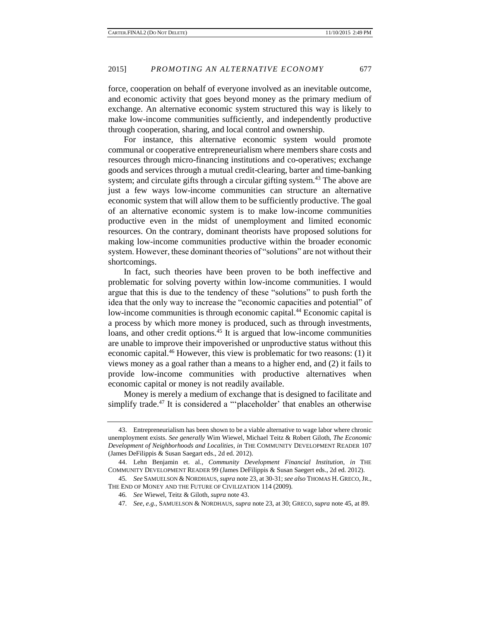force, cooperation on behalf of everyone involved as an inevitable outcome, and economic activity that goes beyond money as the primary medium of exchange. An alternative economic system structured this way is likely to make low-income communities sufficiently, and independently productive through cooperation, sharing, and local control and ownership.

For instance, this alternative economic system would promote communal or cooperative entrepreneurialism where members share costs and resources through micro-financing institutions and co-operatives; exchange goods and services through a mutual credit-clearing, barter and time-banking system; and circulate gifts through a circular gifting system.<sup>43</sup> The above are just a few ways low-income communities can structure an alternative economic system that will allow them to be sufficiently productive. The goal of an alternative economic system is to make low-income communities productive even in the midst of unemployment and limited economic resources. On the contrary, dominant theorists have proposed solutions for making low-income communities productive within the broader economic system. However, these dominant theories of "solutions" are not without their shortcomings.

In fact, such theories have been proven to be both ineffective and problematic for solving poverty within low-income communities. I would argue that this is due to the tendency of these "solutions" to push forth the idea that the only way to increase the "economic capacities and potential" of low-income communities is through economic capital.<sup>44</sup> Economic capital is a process by which more money is produced, such as through investments, loans, and other credit options.<sup>45</sup> It is argued that low-income communities are unable to improve their impoverished or unproductive status without this economic capital.<sup>46</sup> However, this view is problematic for two reasons: (1) it views money as a goal rather than a means to a higher end, and (2) it fails to provide low-income communities with productive alternatives when economic capital or money is not readily available.

Money is merely a medium of exchange that is designed to facilitate and simplify trade.<sup>47</sup> It is considered a "'placeholder' that enables an otherwise

<sup>43.</sup> Entrepreneurialism has been shown to be a viable alternative to wage labor where chronic unemployment exists. *See generally* Wim Wiewel, Michael Teitz & Robert Giloth, *The Economic Development of Neighborhoods and Localities, in* THE COMMUNITY DEVELOPMENT READER 107 (James DeFilippis & Susan Saegart eds., 2d ed. 2012).

<sup>44.</sup> Lehn Benjamin et. al., *Community Development Financial Institution, in* THE COMMUNITY DEVELOPMENT READER 99 (James DeFilippis & Susan Saegert eds., 2d ed. 2012).

<sup>45</sup>*. See* SAMUELSON & NORDHAUS, *supra* note 23, at 30-31; *see also* THOMAS H. GRECO,JR., THE END OF MONEY AND THE FUTURE OF CIVILIZATION 114 (2009).

<sup>46</sup>*. See* Wiewel, Teitz & Giloth, *supra* note 43.

<sup>47</sup>*. See, e.g.*, SAMUELSON & NORDHAUS, *supra* note 23, at 30; GRECO, *supra* note 45, at 89.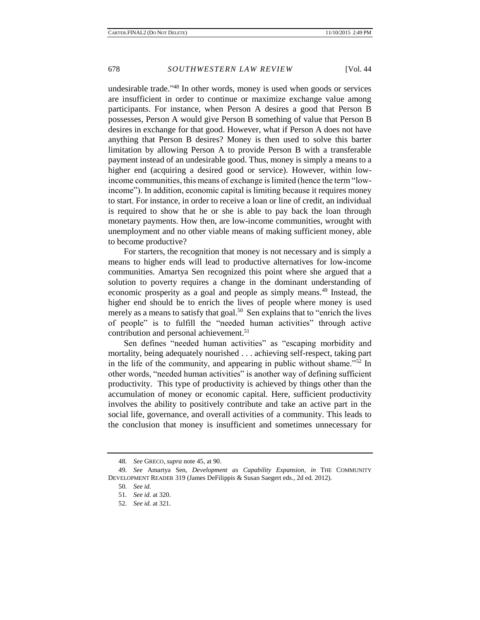undesirable trade." <sup>48</sup> In other words, money is used when goods or services are insufficient in order to continue or maximize exchange value among participants. For instance, when Person A desires a good that Person B possesses, Person A would give Person B something of value that Person B desires in exchange for that good. However, what if Person A does not have anything that Person B desires? Money is then used to solve this barter limitation by allowing Person A to provide Person B with a transferable payment instead of an undesirable good. Thus, money is simply a means to a higher end (acquiring a desired good or service). However, within lowincome communities, this means of exchange is limited (hence the term "lowincome"). In addition, economic capital is limiting because it requires money to start. For instance, in order to receive a loan or line of credit, an individual is required to show that he or she is able to pay back the loan through monetary payments. How then, are low-income communities, wrought with unemployment and no other viable means of making sufficient money, able to become productive?

For starters, the recognition that money is not necessary and is simply a means to higher ends will lead to productive alternatives for low-income communities. Amartya Sen recognized this point where she argued that a solution to poverty requires a change in the dominant understanding of economic prosperity as a goal and people as simply means.<sup>49</sup> Instead, the higher end should be to enrich the lives of people where money is used merely as a means to satisfy that goal.<sup>50</sup> Sen explains that to "enrich the lives" of people" is to fulfill the "needed human activities" through active contribution and personal achievement.<sup>51</sup>

Sen defines "needed human activities" as "escaping morbidity and mortality, being adequately nourished . . . achieving self-respect, taking part in the life of the community, and appearing in public without shame.<sup>"52</sup> In other words, "needed human activities" is another way of defining sufficient productivity. This type of productivity is achieved by things other than the accumulation of money or economic capital. Here, sufficient productivity involves the ability to positively contribute and take an active part in the social life, governance, and overall activities of a community. This leads to the conclusion that money is insufficient and sometimes unnecessary for

<sup>48</sup>*. See* GRECO, *supra* note 45, at 90.

<sup>49</sup>*. See* Amartya Sen, *Development as Capability Expansion, in* THE COMMUNITY DEVELOPMENT READER 319 (James DeFilippis & Susan Saegert eds., 2d ed. 2012).

<sup>50</sup>*. See id.*

<sup>51</sup>*. See id.* at 320.

<sup>52</sup>*. See id.* at 321.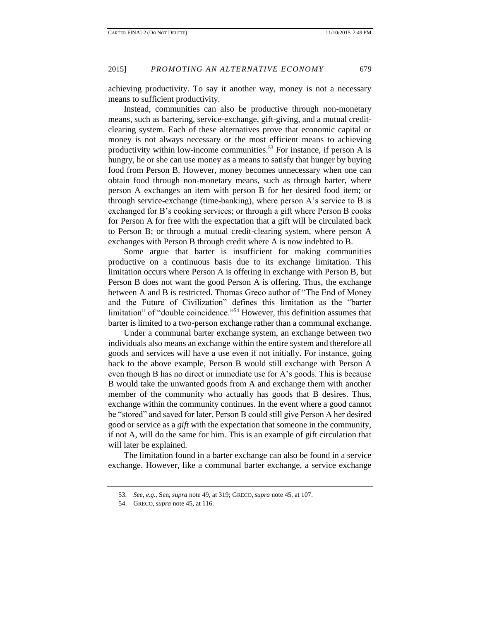achieving productivity. To say it another way, money is not a necessary means to sufficient productivity.

Instead, communities can also be productive through non-monetary means, such as bartering, service-exchange, gift-giving, and a mutual creditclearing system. Each of these alternatives prove that economic capital or money is not always necessary or the most efficient means to achieving productivity within low-income communities.<sup>53</sup> For instance, if person A is hungry, he or she can use money as a means to satisfy that hunger by buying food from Person B. However, money becomes unnecessary when one can obtain food through non-monetary means, such as through barter, where person A exchanges an item with person B for her desired food item; or through service-exchange (time-banking), where person A's service to B is exchanged for B's cooking services; or through a gift where Person B cooks for Person A for free with the expectation that a gift will be circulated back to Person B; or through a mutual credit-clearing system, where person A exchanges with Person B through credit where A is now indebted to B.

Some argue that barter is insufficient for making communities productive on a continuous basis due to its exchange limitation. This limitation occurs where Person A is offering in exchange with Person B, but Person B does not want the good Person A is offering. Thus, the exchange between A and B is restricted. Thomas Greco author of "The End of Money and the Future of Civilization" defines this limitation as the "barter limitation" of "double coincidence."<sup>54</sup> However, this definition assumes that barter is limited to a two-person exchange rather than a communal exchange.

Under a communal barter exchange system, an exchange between two individuals also means an exchange within the entire system and therefore all goods and services will have a use even if not initially. For instance, going back to the above example, Person B would still exchange with Person A even though B has no direct or immediate use for A's goods. This is because B would take the unwanted goods from A and exchange them with another member of the community who actually has goods that B desires. Thus, exchange within the community continues. In the event where a good cannot be "stored" and saved for later, Person B could still give Person A her desired good or service as a *gift* with the expectation that someone in the community, if not A, will do the same for him. This is an example of gift circulation that will later be explained.

The limitation found in a barter exchange can also be found in a service exchange. However, like a communal barter exchange, a service exchange

<sup>53</sup>*. See, e.g.*, Sen, *supra* note 49, at 319; GRECO, *supra* note 45, at 107.

<sup>54.</sup> GRECO, *supra* note 45, at 116.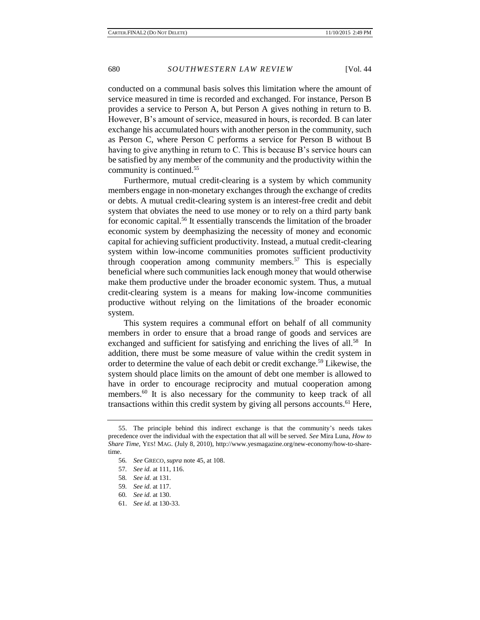conducted on a communal basis solves this limitation where the amount of service measured in time is recorded and exchanged. For instance, Person B provides a service to Person A, but Person A gives nothing in return to B. However, B's amount of service, measured in hours, is recorded. B can later exchange his accumulated hours with another person in the community, such as Person C, where Person C performs a service for Person B without B having to give anything in return to C. This is because B's service hours can be satisfied by any member of the community and the productivity within the community is continued.<sup>55</sup>

Furthermore, mutual credit-clearing is a system by which community members engage in non-monetary exchanges through the exchange of credits or debts. A mutual credit-clearing system is an interest-free credit and debit system that obviates the need to use money or to rely on a third party bank for economic capital.<sup>56</sup> It essentially transcends the limitation of the broader economic system by deemphasizing the necessity of money and economic capital for achieving sufficient productivity. Instead, a mutual credit-clearing system within low-income communities promotes sufficient productivity through cooperation among community members.<sup>57</sup> This is especially beneficial where such communities lack enough money that would otherwise make them productive under the broader economic system. Thus, a mutual credit-clearing system is a means for making low-income communities productive without relying on the limitations of the broader economic system.

This system requires a communal effort on behalf of all community members in order to ensure that a broad range of goods and services are exchanged and sufficient for satisfying and enriching the lives of all.<sup>58</sup> In addition, there must be some measure of value within the credit system in order to determine the value of each debit or credit exchange. <sup>59</sup> Likewise, the system should place limits on the amount of debt one member is allowed to have in order to encourage reciprocity and mutual cooperation among members.<sup>60</sup> It is also necessary for the community to keep track of all transactions within this credit system by giving all persons accounts.<sup>61</sup> Here,

<sup>55.</sup> The principle behind this indirect exchange is that the community's needs takes precedence over the individual with the expectation that all will be served. *See* Mira Luna, *How to Share Time,* YES! MAG. (July 8, 2010), http://www.yesmagazine.org/new-economy/how-to-sharetime.

<sup>56</sup>*. See* GRECO, *supra* note 45, at 108.

<sup>57</sup>*. See id.* at 111, 116.

<sup>58</sup>*. See id.* at 131.

<sup>59</sup>*. See id.* at 117.

<sup>60</sup>*. See id.* at 130.

<sup>61.</sup> *See id.* at 130-33.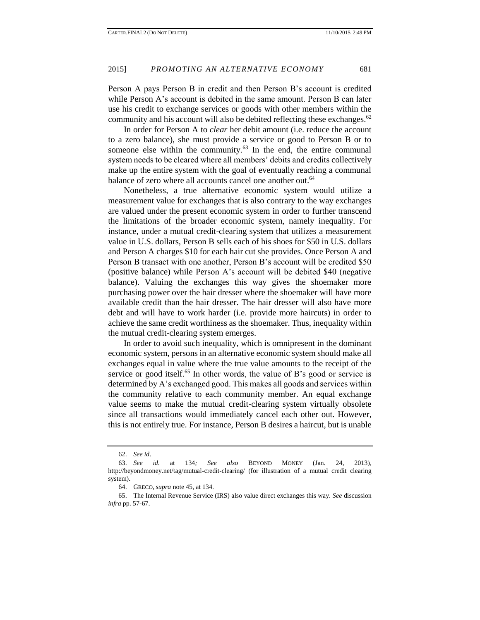Person A pays Person B in credit and then Person B's account is credited while Person A's account is debited in the same amount. Person B can later use his credit to exchange services or goods with other members within the community and his account will also be debited reflecting these exchanges.<sup>62</sup>

In order for Person A to *clear* her debit amount (i.e. reduce the account to a zero balance), she must provide a service or good to Person B or to someone else within the community. $63$  In the end, the entire communal system needs to be cleared where all members' debits and credits collectively make up the entire system with the goal of eventually reaching a communal balance of zero where all accounts cancel one another out.<sup>64</sup>

Nonetheless, a true alternative economic system would utilize a measurement value for exchanges that is also contrary to the way exchanges are valued under the present economic system in order to further transcend the limitations of the broader economic system, namely inequality. For instance, under a mutual credit-clearing system that utilizes a measurement value in U.S. dollars, Person B sells each of his shoes for \$50 in U.S. dollars and Person A charges \$10 for each hair cut she provides. Once Person A and Person B transact with one another, Person B's account will be credited \$50 (positive balance) while Person A's account will be debited \$40 (negative balance). Valuing the exchanges this way gives the shoemaker more purchasing power over the hair dresser where the shoemaker will have more available credit than the hair dresser. The hair dresser will also have more debt and will have to work harder (i.e. provide more haircuts) in order to achieve the same credit worthiness as the shoemaker. Thus, inequality within the mutual credit-clearing system emerges.

In order to avoid such inequality, which is omnipresent in the dominant economic system, persons in an alternative economic system should make all exchanges equal in value where the true value amounts to the receipt of the service or good itself.<sup>65</sup> In other words, the value of B's good or service is determined by A's exchanged good. This makes all goods and services within the community relative to each community member. An equal exchange value seems to make the mutual credit-clearing system virtually obsolete since all transactions would immediately cancel each other out. However, this is not entirely true. For instance, Person B desires a haircut, but is unable

<sup>62.</sup> *See id*.

<sup>63.</sup> *See id.* at 134*; See also* BEYOND MONEY (Jan. 24, 2013)*,*  http://beyondmoney.net/tag/mutual-credit-clearing/ (for illustration of a mutual credit clearing system).

<sup>64.</sup> GRECO, *supra* note 45, at 134.

<sup>65.</sup> The Internal Revenue Service (IRS) also value direct exchanges this way. *See* discussion *infra* pp. 57-67.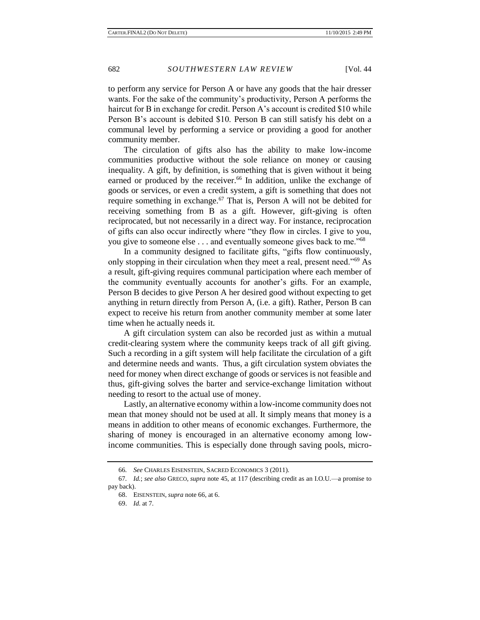to perform any service for Person A or have any goods that the hair dresser wants. For the sake of the community's productivity, Person A performs the haircut for B in exchange for credit. Person A's account is credited \$10 while Person B's account is debited \$10. Person B can still satisfy his debt on a communal level by performing a service or providing a good for another community member.

The circulation of gifts also has the ability to make low-income communities productive without the sole reliance on money or causing inequality. A gift, by definition, is something that is given without it being earned or produced by the receiver.<sup>66</sup> In addition, unlike the exchange of goods or services, or even a credit system, a gift is something that does not require something in exchange. $67$  That is, Person A will not be debited for receiving something from B as a gift. However, gift-giving is often reciprocated, but not necessarily in a direct way. For instance, reciprocation of gifts can also occur indirectly where "they flow in circles. I give to you, you give to someone else . . . and eventually someone gives back to me."<sup>68</sup>

In a community designed to facilitate gifts, "gifts flow continuously, only stopping in their circulation when they meet a real, present need."<sup>69</sup> As a result, gift-giving requires communal participation where each member of the community eventually accounts for another's gifts. For an example, Person B decides to give Person A her desired good without expecting to get anything in return directly from Person A, (i.e. a gift). Rather, Person B can expect to receive his return from another community member at some later time when he actually needs it.

A gift circulation system can also be recorded just as within a mutual credit-clearing system where the community keeps track of all gift giving. Such a recording in a gift system will help facilitate the circulation of a gift and determine needs and wants. Thus, a gift circulation system obviates the need for money when direct exchange of goods or services is not feasible and thus, gift-giving solves the barter and service-exchange limitation without needing to resort to the actual use of money.

Lastly, an alternative economy within a low-income community does not mean that money should not be used at all. It simply means that money is a means in addition to other means of economic exchanges. Furthermore, the sharing of money is encouraged in an alternative economy among lowincome communities. This is especially done through saving pools, micro-

<sup>66</sup>*. See* CHARLES EISENSTEIN, SACRED ECONOMICS 3 (2011).

<sup>67</sup>*. Id.*; *see also* GRECO, *supra* note 45, at 117 (describing credit as an I.O.U.—a promise to pay back).

<sup>68.</sup> EISENSTEIN, *supra* note 66, at 6.

<sup>69.</sup> *Id*. at 7.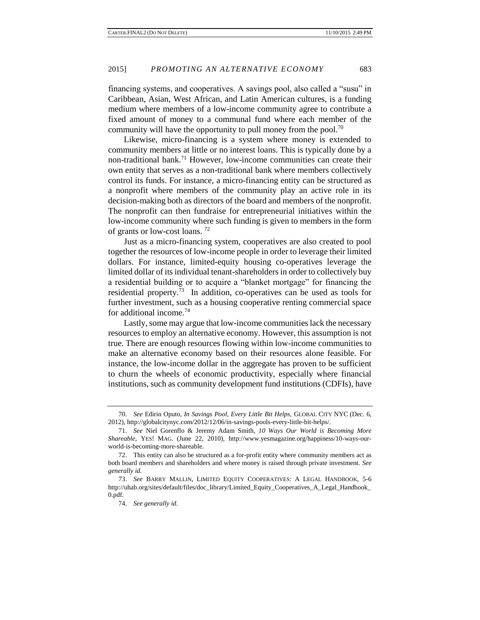financing systems, and cooperatives. A savings pool, also called a "susu" in Caribbean, Asian, West African, and Latin American cultures, is a funding medium where members of a low-income community agree to contribute a fixed amount of money to a communal fund where each member of the community will have the opportunity to pull money from the pool.<sup>70</sup>

Likewise, micro-financing is a system where money is extended to community members at little or no interest loans. This is typically done by a non-traditional bank.<sup>71</sup> However, low-income communities can create their own entity that serves as a non-traditional bank where members collectively control its funds. For instance, a micro-financing entity can be structured as a nonprofit where members of the community play an active role in its decision-making both as directors of the board and members of the nonprofit. The nonprofit can then fundraise for entrepreneurial initiatives within the low-income community where such funding is given to members in the form of grants or low-cost loans. <sup>72</sup>

Just as a micro-financing system, cooperatives are also created to pool together the resources of low-income people in order to leverage their limited dollars. For instance, limited-equity housing co-operatives leverage the limited dollar of its individual tenant-shareholders in order to collectively buy a residential building or to acquire a "blanket mortgage" for financing the residential property.<sup>73</sup> In addition, co-operatives can be used as tools for further investment, such as a housing cooperative renting commercial space for additional income.<sup>74</sup>

Lastly, some may argue that low-income communities lack the necessary resources to employ an alternative economy. However, this assumption is not true. There are enough resources flowing within low-income communities to make an alternative economy based on their resources alone feasible. For instance, the low-income dollar in the aggregate has proven to be sufficient to churn the wheels of economic productivity, especially where financial institutions, such as community development fund institutions (CDFIs), have

<sup>70.</sup> *See* Edirin Oputo, *In Savings Pool, Every Little Bit Helps,* GLOBAL CITY NYC (Dec. 6, 2012), http://globalcitynyc.com/2012/12/06/in-savings-pools-every-little-bit-helps/.

<sup>71.</sup> *See* Niel Gorenflo & Jeremy Adam Smith, *10 Ways Our World is Becoming More Shareable*, YES! MAG. (June 22, 2010), http://www.yesmagazine.org/happiness/10-ways-ourworld-is-becoming-more-shareable.

<sup>72.</sup> This entity can also be structured as a for-profit entity where community members act as both board members and shareholders and where money is raised through private investment. *See generally id.*

<sup>73.</sup> *See* BARRY MALLIN, LIMITED EQUITY COOPERATIVES: A LEGAL HANDBOOK, 5-6 http://uhab.org/sites/default/files/doc\_library/Limited\_Equity\_Cooperatives\_A\_Legal\_Handbook\_ 0.pdf.

<sup>74.</sup> *See generally id.*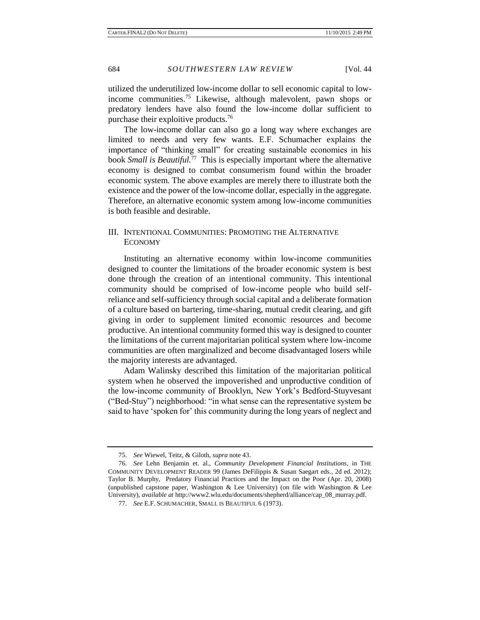utilized the underutilized low-income dollar to sell economic capital to lowincome communities.<sup>75</sup> Likewise, although malevolent, pawn shops or predatory lenders have also found the low-income dollar sufficient to purchase their exploitive products.<sup>76</sup>

The low-income dollar can also go a long way where exchanges are limited to needs and very few wants. E.F. Schumacher explains the importance of "thinking small" for creating sustainable economies in his book *Small is Beautiful.*<sup>77</sup> This is especially important where the alternative economy is designed to combat consumerism found within the broader economic system. The above examples are merely there to illustrate both the existence and the power of the low-income dollar, especially in the aggregate. Therefore, an alternative economic system among low-income communities is both feasible and desirable.

## III. INTENTIONAL COMMUNITIES: PROMOTING THE ALTERNATIVE ECONOMY

Instituting an alternative economy within low-income communities designed to counter the limitations of the broader economic system is best done through the creation of an intentional community. This intentional community should be comprised of low-income people who build selfreliance and self-sufficiency through social capital and a deliberate formation of a culture based on bartering, time-sharing, mutual credit clearing, and gift giving in order to supplement limited economic resources and become productive. An intentional community formed this way is designed to counter the limitations of the current majoritarian political system where low-income communities are often marginalized and become disadvantaged losers while the majority interests are advantaged.

Adam Walinsky described this limitation of the majoritarian political system when he observed the impoverished and unproductive condition of the low-income community of Brooklyn, New York's Bedford-Stuyvesant ("Bed-Stuy") neighborhood: "in what sense can the representative system be said to have 'spoken for' this community during the long years of neglect and

<sup>75.</sup> *See* Wiewel, Teitz, & Giloth, *supra* note 43.

<sup>76</sup>*. See* Lehn Benjamin et. al., *Community Development Financial Institutions*, in THE COMMUNITY DEVELOPMENT READER 99 (James DeFilippis & Susan Saegart eds., 2d ed. 2012); Taylor B. Murphy, Predatory Financial Practices and the Impact on the Poor (Apr. 20, 2008) (unpublished capstone paper, Washington & Lee University) (on file with Washington & Lee University), *available at* http://www2.wlu.edu/documents/shepherd/alliance/cap\_08\_murray.pdf.

<sup>77.</sup> *See* E.F. SCHUMACHER, SMALL IS BEAUTIFUL 6 (1973).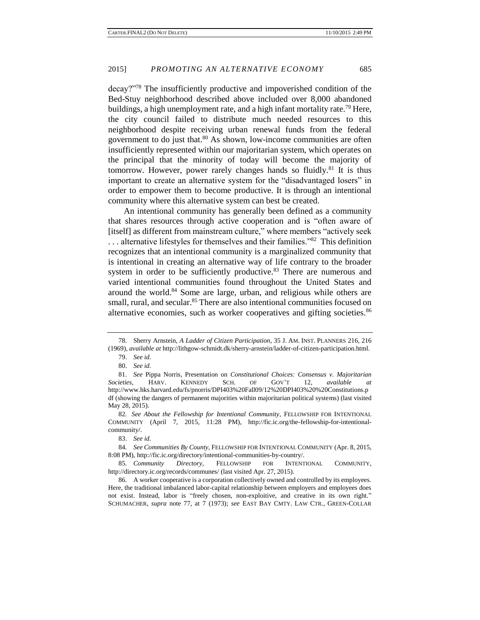decay?"<sup>78</sup> The insufficiently productive and impoverished condition of the Bed-Stuy neighborhood described above included over 8,000 abandoned buildings, a high unemployment rate, and a high infant mortality rate.<sup>79</sup> Here, the city council failed to distribute much needed resources to this neighborhood despite receiving urban renewal funds from the federal government to do just that.<sup>80</sup> As shown, low-income communities are often insufficiently represented within our majoritarian system, which operates on the principal that the minority of today will become the majority of tomorrow. However, power rarely changes hands so fluidly.<sup>81</sup> It is thus important to create an alternative system for the "disadvantaged losers" in order to empower them to become productive. It is through an intentional community where this alternative system can best be created.

An intentional community has generally been defined as a community that shares resources through active cooperation and is "often aware of [itself] as different from mainstream culture," where members "actively seek ... alternative lifestyles for themselves and their families."<sup>82</sup> This definition recognizes that an intentional community is a marginalized community that is intentional in creating an alternative way of life contrary to the broader system in order to be sufficiently productive.<sup>83</sup> There are numerous and varied intentional communities found throughout the United States and around the world.<sup>84</sup> Some are large, urban, and religious while others are small, rural, and secular.<sup>85</sup> There are also intentional communities focused on alternative economies, such as worker cooperatives and gifting societies.<sup>86</sup>

85*. Community Directory,* FELLOWSHIP FOR INTENTIONAL COMMUNITY, http://directory.ic.org/records/communes/ (last visited Apr. 27, 2015).

<sup>78.</sup> Sherry Arnstein, *A Ladder of Citizen Participation*, 35 J. AM. INST. PLANNERS 216, 216 (1969), *available at* http://lithgow-schmidt.dk/sherry-arnstein/ladder-of-citizen-participation.html.

<sup>79.</sup> *See id.*

<sup>80.</sup> *See id.* 

<sup>81.</sup> *See* Pippa Norris, Presentation on *Constitutional Choices: Consensus v. Majoritarian Societies,* HARV. KENNEDY SCH. OF GOV'T 12, *available at*  http://www.hks.harvard.edu/fs/pnorris/DPI403%20Fall09/12%20DPI403%20%20Constitutions.p df (showing the dangers of permanent majorities within majoritarian political systems) (last visited May 28, 2015).

<sup>82</sup>*. See About the Fellowship for Intentional Community*, FELLOWSHIP FOR INTENTIONAL COMMUNITY (April 7, 2015, 11:28 PM), http://fic.ic.org/the-fellowship-for-intentionalcommunity/.

<sup>83.</sup> *See id.* 

<sup>84</sup>*. See Communities By County,* FELLOWSHIP FOR INTENTIONAL COMMUNITY (Apr. 8, 2015, 8:08 PM), http://fic.ic.org/directory/intentional-communities-by-country/.

<sup>86.</sup> A worker cooperative is a corporation collectively owned and controlled by its employees. Here, the traditional imbalanced labor-capital relationship between employers and employees does not exist. Instead, labor is "freely chosen, non-exploitive, and creative in its own right." SCHUMACHER, *supra* note 77, at 7 (1973); *see* EAST BAY CMTY. LAW CTR., GREEN-COLLAR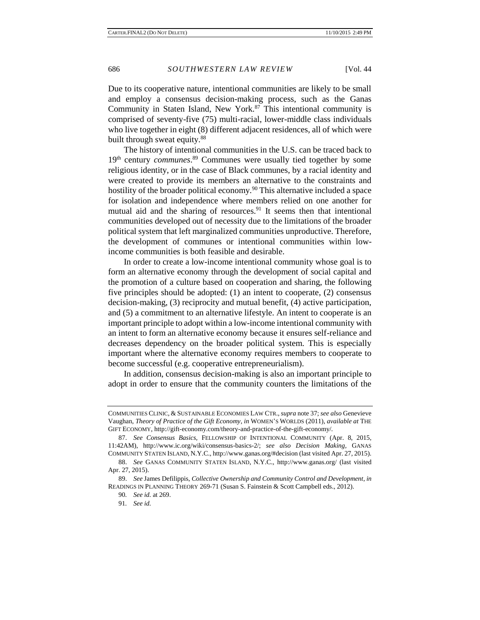Due to its cooperative nature, intentional communities are likely to be small and employ a consensus decision-making process, such as the Ganas Community in Staten Island, New York.<sup>87</sup> This intentional community is comprised of seventy-five (75) multi-racial, lower-middle class individuals who live together in eight (8) different adjacent residences, all of which were built through sweat equity.<sup>88</sup>

The history of intentional communities in the U.S. can be traced back to 19<sup>th</sup> century *communes*.<sup>89</sup> Communes were usually tied together by some religious identity, or in the case of Black communes, by a racial identity and were created to provide its members an alternative to the constraints and hostility of the broader political economy.<sup>90</sup> This alternative included a space for isolation and independence where members relied on one another for mutual aid and the sharing of resources.<sup>91</sup> It seems then that intentional communities developed out of necessity due to the limitations of the broader political system that left marginalized communities unproductive. Therefore, the development of communes or intentional communities within lowincome communities is both feasible and desirable.

In order to create a low-income intentional community whose goal is to form an alternative economy through the development of social capital and the promotion of a culture based on cooperation and sharing, the following five principles should be adopted: (1) an intent to cooperate, (2) consensus decision-making, (3) reciprocity and mutual benefit, (4) active participation, and (5) a commitment to an alternative lifestyle. An intent to cooperate is an important principle to adopt within a low-income intentional community with an intent to form an alternative economy because it ensures self-reliance and decreases dependency on the broader political system. This is especially important where the alternative economy requires members to cooperate to become successful (e.g. cooperative entrepreneurialism).

In addition, consensus decision-making is also an important principle to adopt in order to ensure that the community counters the limitations of the

COMMUNITIES CLINIC, & SUSTAINABLE ECONOMIES LAW CTR.,*supra* note 37; *see also* Genevieve Vaughan, *Theory of Practice of the Gift Economy*, *in* WOMEN'S WORLDS (2011), *available at* THE GIFT ECONOMY, http://gift-economy.com/theory-and-practice-of-the-gift-economy/*.* 

<sup>87.</sup> *See Consensus Basics,* FELLOWSHIP OF INTENTIONAL COMMUNITY (Apr. 8, 2015, 11:42AM), http://www.ic.org/wiki/consensus-basics-2/; *see also Decision Making,* GANAS COMMUNITY STATEN ISLAND, N.Y.C., http://www.ganas.org/#decision (last visited Apr. 27, 2015).

<sup>88.</sup> *See* GANAS COMMUNITY STATEN ISLAND, N.Y.C., http://www.ganas.org/ (last visited Apr. 27, 2015).

<sup>89.</sup> *See* James Defilippis, *Collective Ownership and Community Control and Development*, *in* READINGS IN PLANNING THEORY 269-71 (Susan S. Fainstein & Scott Campbell eds., 2012).

<sup>90</sup>*. See id.* at 269.

<sup>91</sup>*. See id.*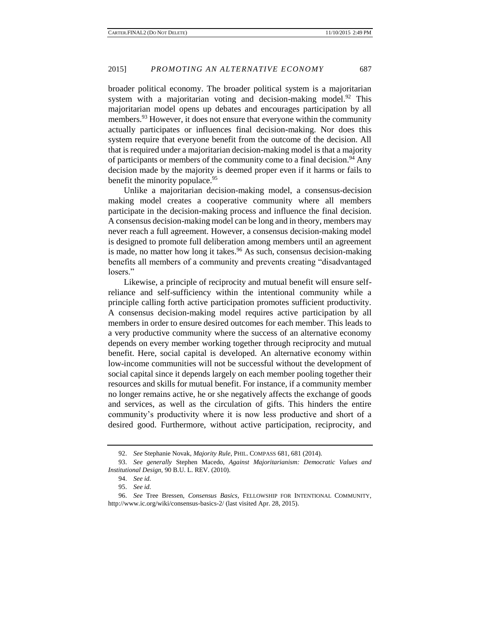broader political economy. The broader political system is a majoritarian system with a majoritarian voting and decision-making model.<sup>92</sup> This majoritarian model opens up debates and encourages participation by all members.<sup>93</sup> However, it does not ensure that everyone within the community actually participates or influences final decision-making. Nor does this system require that everyone benefit from the outcome of the decision. All that is required under a majoritarian decision-making model is that a majority of participants or members of the community come to a final decision.<sup>94</sup> Any decision made by the majority is deemed proper even if it harms or fails to benefit the minority populace.<sup>95</sup>

Unlike a majoritarian decision-making model, a consensus-decision making model creates a cooperative community where all members participate in the decision-making process and influence the final decision. A consensus decision-making model can be long and in theory, members may never reach a full agreement. However, a consensus decision-making model is designed to promote full deliberation among members until an agreement is made, no matter how long it takes.<sup>96</sup> As such, consensus decision-making benefits all members of a community and prevents creating "disadvantaged losers."

Likewise, a principle of reciprocity and mutual benefit will ensure selfreliance and self-sufficiency within the intentional community while a principle calling forth active participation promotes sufficient productivity. A consensus decision-making model requires active participation by all members in order to ensure desired outcomes for each member. This leads to a very productive community where the success of an alternative economy depends on every member working together through reciprocity and mutual benefit. Here, social capital is developed. An alternative economy within low-income communities will not be successful without the development of social capital since it depends largely on each member pooling together their resources and skills for mutual benefit. For instance, if a community member no longer remains active, he or she negatively affects the exchange of goods and services, as well as the circulation of gifts. This hinders the entire community's productivity where it is now less productive and short of a desired good. Furthermore, without active participation, reciprocity, and

<sup>92.</sup> *See* Stephanie Novak*, Majority Rule*, PHIL. COMPASS 681, 681 (2014).

<sup>93.</sup> *See generally* Stephen Macedo, *Against Majoritarianism: Democratic Values and Institutional Design,* 90 B.U. L. REV. (2010).

<sup>94.</sup> *See id.*

<sup>95.</sup> *See id.*

<sup>96.</sup> *See* Tree Bressen, *Consensus Basics,* FELLOWSHIP FOR INTENTIONAL COMMUNITY, http://www.ic.org/wiki/consensus-basics-2/ (last visited Apr. 28, 2015).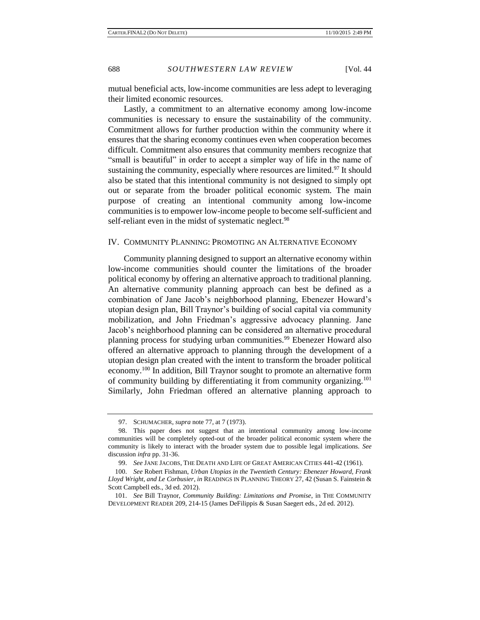mutual beneficial acts, low-income communities are less adept to leveraging their limited economic resources.

Lastly, a commitment to an alternative economy among low-income communities is necessary to ensure the sustainability of the community. Commitment allows for further production within the community where it ensures that the sharing economy continues even when cooperation becomes difficult. Commitment also ensures that community members recognize that "small is beautiful" in order to accept a simpler way of life in the name of sustaining the community, especially where resources are limited.<sup>97</sup> It should also be stated that this intentional community is not designed to simply opt out or separate from the broader political economic system. The main purpose of creating an intentional community among low-income communities is to empower low-income people to become self-sufficient and self-reliant even in the midst of systematic neglect.<sup>98</sup>

#### IV. COMMUNITY PLANNING: PROMOTING AN ALTERNATIVE ECONOMY

Community planning designed to support an alternative economy within low-income communities should counter the limitations of the broader political economy by offering an alternative approach to traditional planning. An alternative community planning approach can best be defined as a combination of Jane Jacob's neighborhood planning, Ebenezer Howard's utopian design plan, Bill Traynor's building of social capital via community mobilization, and John Friedman's aggressive advocacy planning. Jane Jacob's neighborhood planning can be considered an alternative procedural planning process for studying urban communities.<sup>99</sup> Ebenezer Howard also offered an alternative approach to planning through the development of a utopian design plan created with the intent to transform the broader political economy.<sup>100</sup> In addition, Bill Traynor sought to promote an alternative form of community building by differentiating it from community organizing.<sup>101</sup> Similarly, John Friedman offered an alternative planning approach to

<sup>97.</sup> SCHUMACHER, *supra* note 77, at 7 (1973).

<sup>98.</sup> This paper does not suggest that an intentional community among low-income communities will be completely opted-out of the broader political economic system where the community is likely to interact with the broader system due to possible legal implications. *See*  discussion *infra* pp. 31-36.

<sup>99.</sup> *See* JANE JACOBS, THE DEATH AND LIFE OF GREAT AMERICAN CITIES 441-42 (1961).

<sup>100.</sup> *See* Robert Fishman, *Urban Utopias in the Twentieth Century: Ebenezer Howard, Frank Lloyd Wright, and Le Corbusier*, *in* READINGS IN PLANNING THEORY 27, 42 (Susan S. Fainstein & Scott Campbell eds., 3d ed. 2012).

<sup>101.</sup> *See* Bill Traynor, *Community Building: Limitations and Promise*, in THE COMMUNITY DEVELOPMENT READER 209, 214-15 (James DeFilippis & Susan Saegert eds., 2d ed. 2012).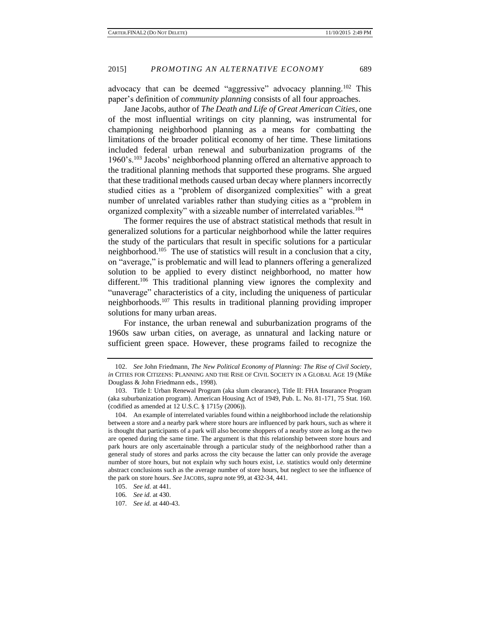advocacy that can be deemed "aggressive" advocacy planning.<sup>102</sup> This paper's definition of *community planning* consists of all four approaches.

Jane Jacobs, author of *The Death and Life of Great American Cities*, one of the most influential writings on city planning, was instrumental for championing neighborhood planning as a means for combatting the limitations of the broader political economy of her time. These limitations included federal urban renewal and suburbanization programs of the 1960's.<sup>103</sup> Jacobs' neighborhood planning offered an alternative approach to the traditional planning methods that supported these programs. She argued that these traditional methods caused urban decay where planners incorrectly studied cities as a "problem of disorganized complexities" with a great number of unrelated variables rather than studying cities as a "problem in organized complexity" with a sizeable number of interrelated variables.<sup>104</sup>

The former requires the use of abstract statistical methods that result in generalized solutions for a particular neighborhood while the latter requires the study of the particulars that result in specific solutions for a particular neighborhood.<sup>105</sup> The use of statistics will result in a conclusion that a city, on "average," is problematic and will lead to planners offering a generalized solution to be applied to every distinct neighborhood, no matter how different.<sup>106</sup> This traditional planning view ignores the complexity and "unaverage" characteristics of a city, including the uniqueness of particular neighborhoods.<sup>107</sup> This results in traditional planning providing improper solutions for many urban areas.

For instance, the urban renewal and suburbanization programs of the 1960s saw urban cities, on average, as unnatural and lacking nature or sufficient green space. However, these programs failed to recognize the

<sup>102.</sup> *See* John Friedmann, *The New Political Economy of Planning: The Rise of Civil Society*, *in* CITIES FOR CITIZENS: PLANNING AND THE RISE OF CIVIL SOCIETY IN A GLOBAL AGE 19 (Mike Douglass & John Friedmann eds., 1998).

<sup>103.</sup> Title I: Urban Renewal Program (aka slum clearance), Title II: FHA Insurance Program (aka suburbanization program). American Housing Act of 1949, Pub. L. No. 81-171, 75 Stat. 160. (codified as amended at 12 U.S.C. § 1715y (2006)).

<sup>104.</sup> An example of interrelated variables found within a neighborhood include the relationship between a store and a nearby park where store hours are influenced by park hours, such as where it is thought that participants of a park will also become shoppers of a nearby store as long as the two are opened during the same time. The argument is that this relationship between store hours and park hours are only ascertainable through a particular study of the neighborhood rather than a general study of stores and parks across the city because the latter can only provide the average number of store hours, but not explain why such hours exist, i.e. statistics would only determine abstract conclusions such as the average number of store hours, but neglect to see the influence of the park on store hours. *See* JACOBS, *supra* note 99, at 432-34, 441.

<sup>105.</sup> *See id.* at 441.

<sup>106</sup>*. See id.* at 430.

<sup>107</sup>*. See id.* at 440-43.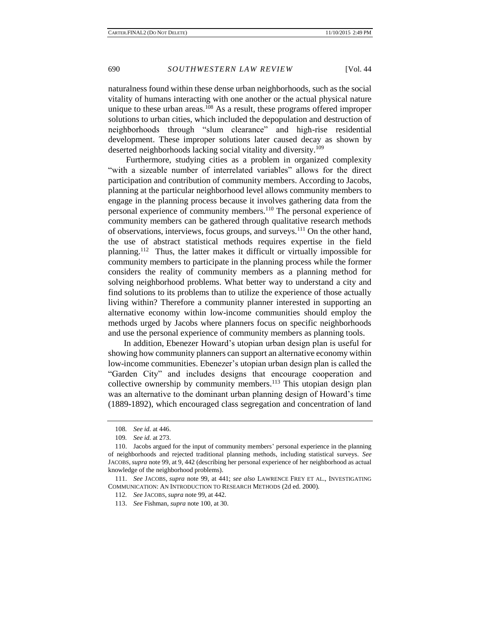naturalness found within these dense urban neighborhoods, such as the social vitality of humans interacting with one another or the actual physical nature unique to these urban areas.<sup>108</sup> As a result, these programs offered improper solutions to urban cities, which included the depopulation and destruction of neighborhoods through "slum clearance" and high-rise residential development. These improper solutions later caused decay as shown by deserted neighborhoods lacking social vitality and diversity.<sup>109</sup>

Furthermore, studying cities as a problem in organized complexity "with a sizeable number of interrelated variables" allows for the direct participation and contribution of community members. According to Jacobs, planning at the particular neighborhood level allows community members to engage in the planning process because it involves gathering data from the personal experience of community members.<sup>110</sup> The personal experience of community members can be gathered through qualitative research methods of observations, interviews, focus groups, and surveys.<sup>111</sup> On the other hand, the use of abstract statistical methods requires expertise in the field planning.<sup>112</sup> Thus, the latter makes it difficult or virtually impossible for community members to participate in the planning process while the former considers the reality of community members as a planning method for solving neighborhood problems. What better way to understand a city and find solutions to its problems than to utilize the experience of those actually living within? Therefore a community planner interested in supporting an alternative economy within low-income communities should employ the methods urged by Jacobs where planners focus on specific neighborhoods and use the personal experience of community members as planning tools.

In addition, Ebenezer Howard's utopian urban design plan is useful for showing how community planners can support an alternative economy within low-income communities. Ebenezer's utopian urban design plan is called the "Garden City" and includes designs that encourage cooperation and collective ownership by community members.<sup>113</sup> This utopian design plan was an alternative to the dominant urban planning design of Howard's time (1889-1892), which encouraged class segregation and concentration of land

113. *See* Fishman*, supra* note 100, at 30.

<sup>108</sup>*. See id.* at 446.

<sup>109</sup>*. See id.* at 273.

<sup>110.</sup> Jacobs argued for the input of community members' personal experience in the planning of neighborhoods and rejected traditional planning methods, including statistical surveys. *See*  JACOBS, *supra* note 99, at 9, 442 (describing her personal experience of her neighborhood as actual knowledge of the neighborhood problems).

<sup>111.</sup> *See* JACOBS, *supra* note 99, at 441; *see also* LAWRENCE FREY ET AL., INVESTIGATING COMMUNICATION: AN INTRODUCTION TO RESEARCH METHODS (2d ed. 2000).

<sup>112</sup>*. See* JACOBS, *supra* note 99, at 442.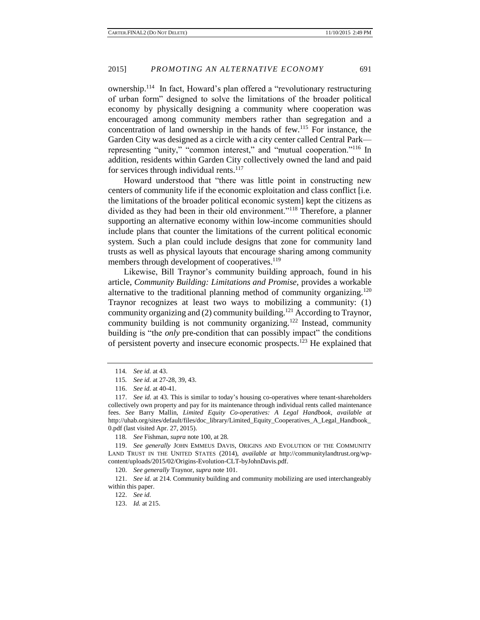ownership.<sup>114</sup> In fact, Howard's plan offered a "revolutionary restructuring of urban form" designed to solve the limitations of the broader political economy by physically designing a community where cooperation was encouraged among community members rather than segregation and a concentration of land ownership in the hands of few.<sup>115</sup> For instance, the Garden City was designed as a circle with a city center called Central Park representing "unity," "common interest," and "mutual cooperation."<sup>116</sup> In addition, residents within Garden City collectively owned the land and paid for services through individual rents.<sup>117</sup>

Howard understood that "there was little point in constructing new centers of community life if the economic exploitation and class conflict [i.e. the limitations of the broader political economic system] kept the citizens as divided as they had been in their old environment."<sup>118</sup> Therefore, a planner supporting an alternative economy within low-income communities should include plans that counter the limitations of the current political economic system. Such a plan could include designs that zone for community land trusts as well as physical layouts that encourage sharing among community members through development of cooperatives.<sup>119</sup>

Likewise, Bill Traynor's community building approach, found in his article, *Community Building: Limitations and Promise,* provides a workable alternative to the traditional planning method of community organizing.<sup>120</sup> Traynor recognizes at least two ways to mobilizing a community: (1) community organizing and (2) community building.<sup>121</sup> According to Traynor, community building is not community organizing.<sup>122</sup> Instead, community building is "the *only* pre-condition that can possibly impact" the conditions of persistent poverty and insecure economic prospects.<sup>123</sup> He explained that

118*. See* Fishman, *supra* note 100, at 28.

119. *See generally* JOHN EMMEUS DAVIS, ORIGINS AND EVOLUTION OF THE COMMUNITY LAND TRUST IN THE UNITED STATES (2014), *available at* http://communitylandtrust.org/wpcontent/uploads/2015/02/Origins-Evolution-CLT-byJohnDavis.pdf.

120. *See generally* Traynor, *supra* note 101.

121. *See id.* at 214. Community building and community mobilizing are used interchangeably within this paper.

122. *See id.*

<sup>114</sup>*. See id.* at 43.

<sup>115</sup>*. See id.* at 27-28, 39, 43.

<sup>116.</sup> *See id.* at 40-41.

<sup>117.</sup> *See id.* at 43. This is similar to today's housing co-operatives where tenant-shareholders collectively own property and pay for its maintenance through individual rents called maintenance fees. *See* Barry Mallin, *Limited Equity Co-operatives: A Legal Handbook*, *available at*  http://uhab.org/sites/default/files/doc\_library/Limited\_Equity\_Cooperatives\_A\_Legal\_Handbook\_ 0.pdf (last visited Apr. 27, 2015).

<sup>123.</sup> *Id.* at 215.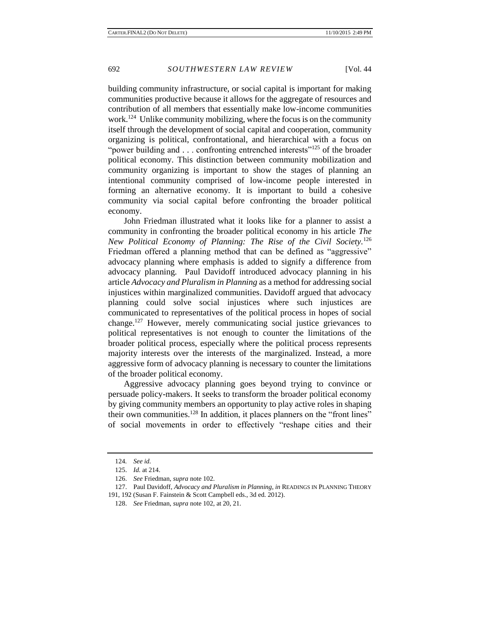building community infrastructure, or social capital is important for making communities productive because it allows for the aggregate of resources and contribution of all members that essentially make low-income communities work.<sup>124</sup> Unlike community mobilizing, where the focus is on the community itself through the development of social capital and cooperation, community organizing is political, confrontational, and hierarchical with a focus on "power building and  $\ldots$  confronting entrenched interests"<sup>125</sup> of the broader political economy. This distinction between community mobilization and community organizing is important to show the stages of planning an intentional community comprised of low-income people interested in forming an alternative economy. It is important to build a cohesive community via social capital before confronting the broader political economy.

John Friedman illustrated what it looks like for a planner to assist a community in confronting the broader political economy in his article *The New Political Economy of Planning: The Rise of the Civil Society.*<sup>126</sup> Friedman offered a planning method that can be defined as "aggressive" advocacy planning where emphasis is added to signify a difference from advocacy planning. Paul Davidoff introduced advocacy planning in his article *Advocacy and Pluralism in Planning* as a method for addressing social injustices within marginalized communities. Davidoff argued that advocacy planning could solve social injustices where such injustices are communicated to representatives of the political process in hopes of social change.<sup>127</sup> However, merely communicating social justice grievances to political representatives is not enough to counter the limitations of the broader political process, especially where the political process represents majority interests over the interests of the marginalized. Instead, a more aggressive form of advocacy planning is necessary to counter the limitations of the broader political economy.

Aggressive advocacy planning goes beyond trying to convince or persuade policy-makers. It seeks to transform the broader political economy by giving community members an opportunity to play active roles in shaping their own communities.<sup>128</sup> In addition, it places planners on the "front lines" of social movements in order to effectively "reshape cities and their

<sup>124</sup>*. See id.*

<sup>125.</sup> *Id*. at 214.

<sup>126.</sup> *See* Friedman, *supra* note 102.

<sup>127.</sup> Paul Davidoff, *Advocacy and Pluralism in Planning*, *in* READINGS IN PLANNING THEORY 191, 192 (Susan F. Fainstein & Scott Campbell eds., 3d ed. 2012).

<sup>128.</sup> *See* Friedman, *supra* note 102, at 20, 21.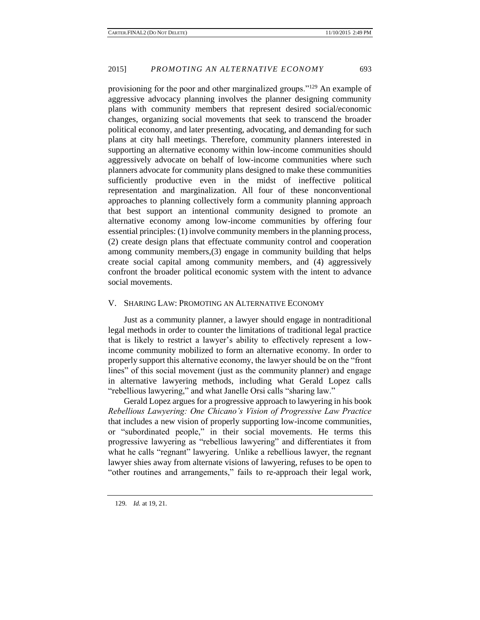provisioning for the poor and other marginalized groups."<sup>129</sup> An example of aggressive advocacy planning involves the planner designing community plans with community members that represent desired social/economic changes, organizing social movements that seek to transcend the broader political economy, and later presenting, advocating, and demanding for such plans at city hall meetings. Therefore, community planners interested in supporting an alternative economy within low-income communities should aggressively advocate on behalf of low-income communities where such planners advocate for community plans designed to make these communities sufficiently productive even in the midst of ineffective political representation and marginalization. All four of these nonconventional approaches to planning collectively form a community planning approach that best support an intentional community designed to promote an alternative economy among low-income communities by offering four essential principles: (1) involve community members in the planning process, (2) create design plans that effectuate community control and cooperation among community members,(3) engage in community building that helps create social capital among community members, and (4) aggressively confront the broader political economic system with the intent to advance social movements.

### V. SHARING LAW: PROMOTING AN ALTERNATIVE ECONOMY

Just as a community planner, a lawyer should engage in nontraditional legal methods in order to counter the limitations of traditional legal practice that is likely to restrict a lawyer's ability to effectively represent a lowincome community mobilized to form an alternative economy. In order to properly support this alternative economy, the lawyer should be on the "front lines" of this social movement (just as the community planner) and engage in alternative lawyering methods, including what Gerald Lopez calls "rebellious lawyering," and what Janelle Orsi calls "sharing law."

Gerald Lopez argues for a progressive approach to lawyering in his book *Rebellious Lawyering: One Chicano's Vision of Progressive Law Practice* that includes a new vision of properly supporting low-income communities, or "subordinated people," in their social movements. He terms this progressive lawyering as "rebellious lawyering" and differentiates it from what he calls "regnant" lawyering. Unlike a rebellious lawyer, the regnant lawyer shies away from alternate visions of lawyering, refuses to be open to "other routines and arrangements," fails to re-approach their legal work,

<sup>129</sup>*. Id.* at 19, 21.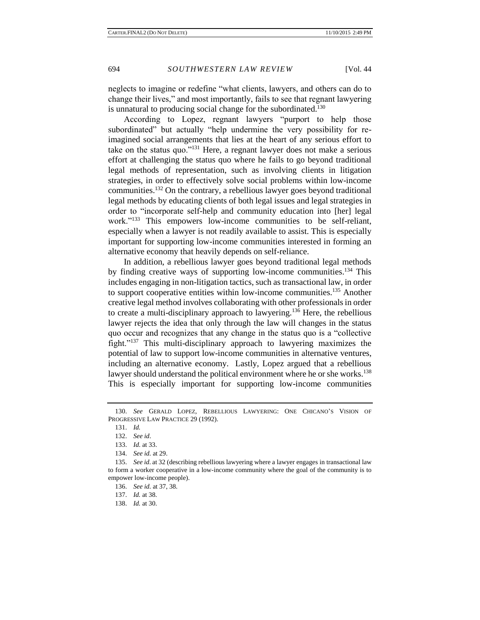neglects to imagine or redefine "what clients, lawyers, and others can do to change their lives," and most importantly, fails to see that regnant lawyering is unnatural to producing social change for the subordinated.<sup>130</sup>

According to Lopez, regnant lawyers "purport to help those subordinated" but actually "help undermine the very possibility for reimagined social arrangements that lies at the heart of any serious effort to take on the status quo."<sup>131</sup> Here, a regnant lawyer does not make a serious effort at challenging the status quo where he fails to go beyond traditional legal methods of representation, such as involving clients in litigation strategies, in order to effectively solve social problems within low-income communities.<sup>132</sup> On the contrary, a rebellious lawyer goes beyond traditional legal methods by educating clients of both legal issues and legal strategies in order to "incorporate self-help and community education into [her] legal work."<sup>133</sup> This empowers low-income communities to be self-reliant, especially when a lawyer is not readily available to assist. This is especially important for supporting low-income communities interested in forming an alternative economy that heavily depends on self-reliance.

In addition, a rebellious lawyer goes beyond traditional legal methods by finding creative ways of supporting low-income communities.<sup>134</sup> This includes engaging in non-litigation tactics, such as transactional law, in order to support cooperative entities within low-income communities.<sup>135</sup> Another creative legal method involves collaborating with other professionals in order to create a multi-disciplinary approach to lawyering.<sup>136</sup> Here, the rebellious lawyer rejects the idea that only through the law will changes in the status quo occur and recognizes that any change in the status quo is a "collective fight."<sup>137</sup> This multi-disciplinary approach to lawyering maximizes the potential of law to support low-income communities in alternative ventures, including an alternative economy. Lastly, Lopez argued that a rebellious lawyer should understand the political environment where he or she works.<sup>138</sup> This is especially important for supporting low-income communities

136. *See id.* at 37, 38.

<sup>130.</sup> *See* GERALD LOPEZ, REBELLIOUS LAWYERING: ONE CHICANO'S VISION OF PROGRESSIVE LAW PRACTICE 29 (1992).

<sup>131.</sup> *Id.*

<sup>132.</sup> *See id*.

<sup>133.</sup> *Id*. at 33.

<sup>134.</sup> *See id.* at 29.

<sup>135.</sup> *See id*. at 32 (describing rebellious lawyering where a lawyer engages in transactional law to form a worker cooperative in a low-income community where the goal of the community is to empower low-income people).

<sup>137.</sup> *Id.* at 38.

<sup>138.</sup> *Id.* at 30.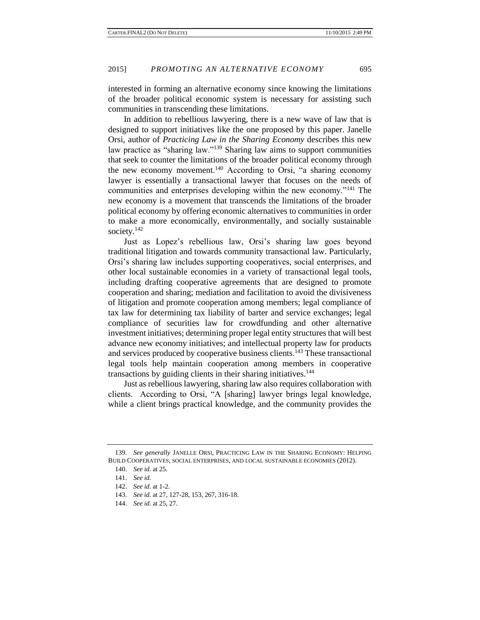interested in forming an alternative economy since knowing the limitations of the broader political economic system is necessary for assisting such communities in transcending these limitations.

In addition to rebellious lawyering, there is a new wave of law that is designed to support initiatives like the one proposed by this paper. Janelle Orsi, author of *Practicing Law in the Sharing Economy* describes this new law practice as "sharing law."<sup>139</sup> Sharing law aims to support communities that seek to counter the limitations of the broader political economy through the new economy movement.<sup>140</sup> According to Orsi, "a sharing economy lawyer is essentially a transactional lawyer that focuses on the needs of communities and enterprises developing within the new economy."<sup>141</sup> The new economy is a movement that transcends the limitations of the broader political economy by offering economic alternatives to communities in order to make a more economically, environmentally, and socially sustainable society. $142$ 

Just as Lopez's rebellious law, Orsi's sharing law goes beyond traditional litigation and towards community transactional law. Particularly, Orsi's sharing law includes supporting cooperatives, social enterprises, and other local sustainable economies in a variety of transactional legal tools, including drafting cooperative agreements that are designed to promote cooperation and sharing; mediation and facilitation to avoid the divisiveness of litigation and promote cooperation among members; legal compliance of tax law for determining tax liability of barter and service exchanges; legal compliance of securities law for crowdfunding and other alternative investment initiatives; determining proper legal entity structures that will best advance new economy initiatives; and intellectual property law for products and services produced by cooperative business clients.<sup>143</sup> These transactional legal tools help maintain cooperation among members in cooperative transactions by guiding clients in their sharing initiatives.<sup>144</sup>

Just as rebellious lawyering, sharing law also requires collaboration with clients. According to Orsi, "A [sharing] lawyer brings legal knowledge, while a client brings practical knowledge, and the community provides the

<sup>139.</sup> *See generally* JANELLE ORSI, PRACTICING LAW IN THE SHARING ECONOMY: HELPING BUILD COOPERATIVES, SOCIAL ENTERPRISES, AND LOCAL SUSTAINABLE ECONOMIES (2012).

<sup>140.</sup> *See id.* at 25.

<sup>141.</sup> *See id.* 

<sup>142.</sup> *See id*. at 1-2.

<sup>143.</sup> *See id.* at 27, 127-28, 153, 267, 316-18.

<sup>144.</sup> *See id.* at 25, 27.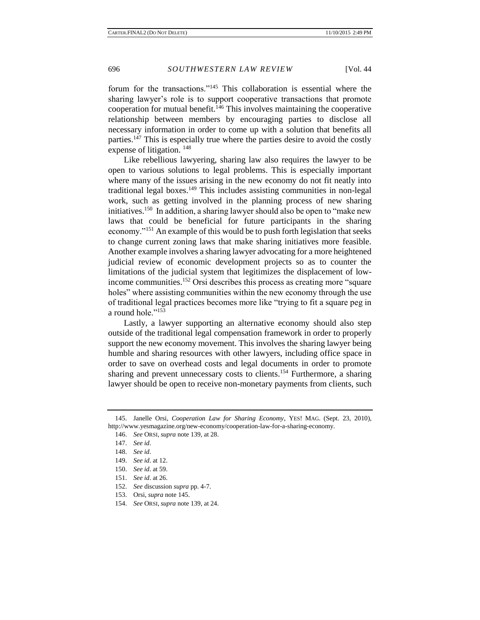forum for the transactions."<sup>145</sup> This collaboration is essential where the sharing lawyer's role is to support cooperative transactions that promote cooperation for mutual benefit.<sup>146</sup> This involves maintaining the cooperative relationship between members by encouraging parties to disclose all necessary information in order to come up with a solution that benefits all parties.<sup>147</sup> This is especially true where the parties desire to avoid the costly expense of litigation. <sup>148</sup>

Like rebellious lawyering, sharing law also requires the lawyer to be open to various solutions to legal problems. This is especially important where many of the issues arising in the new economy do not fit neatly into traditional legal boxes.<sup>149</sup> This includes assisting communities in non-legal work, such as getting involved in the planning process of new sharing initiatives.<sup>150</sup> In addition, a sharing lawyer should also be open to "make new laws that could be beneficial for future participants in the sharing economy."<sup>151</sup> An example of this would be to push forth legislation that seeks to change current zoning laws that make sharing initiatives more feasible. Another example involves a sharing lawyer advocating for a more heightened judicial review of economic development projects so as to counter the limitations of the judicial system that legitimizes the displacement of lowincome communities.<sup>152</sup> Orsi describes this process as creating more "square" holes" where assisting communities within the new economy through the use of traditional legal practices becomes more like "trying to fit a square peg in a round hole."<sup>153</sup>

Lastly, a lawyer supporting an alternative economy should also step outside of the traditional legal compensation framework in order to properly support the new economy movement. This involves the sharing lawyer being humble and sharing resources with other lawyers, including office space in order to save on overhead costs and legal documents in order to promote sharing and prevent unnecessary costs to clients.<sup>154</sup> Furthermore, a sharing lawyer should be open to receive non-monetary payments from clients, such

- 150. *See id*. at 59.
- 151. *See id*. at 26.

- 153. Orsi, *supra* note 145.
- 154. *See* ORSI, *supra* note 139*,* at 24.

<sup>145.</sup> Janelle Orsi, *Cooperation Law for Sharing Economy*, YES! MAG. (Sept. 23, 2010), http://www.yesmagazine.org/new-economy/cooperation-law-for-a-sharing-economy.

<sup>146.</sup> *See* ORSI, *supra* note 139*,* at 28.

<sup>147.</sup> *See id*.

<sup>148.</sup> *See id*.

<sup>149.</sup> *See id*. at 12.

<sup>152.</sup> *See* discussion *supra* pp. 4-7.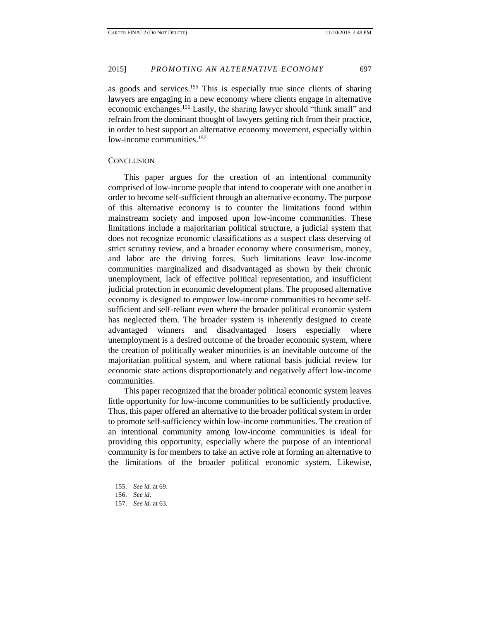as goods and services.<sup>155</sup> This is especially true since clients of sharing lawyers are engaging in a new economy where clients engage in alternative economic exchanges.<sup>156</sup> Lastly, the sharing lawyer should "think small" and refrain from the dominant thought of lawyers getting rich from their practice, in order to best support an alternative economy movement, especially within low-income communities.<sup>157</sup>

#### **CONCLUSION**

This paper argues for the creation of an intentional community comprised of low-income people that intend to cooperate with one another in order to become self-sufficient through an alternative economy. The purpose of this alternative economy is to counter the limitations found within mainstream society and imposed upon low-income communities. These limitations include a majoritarian political structure, a judicial system that does not recognize economic classifications as a suspect class deserving of strict scrutiny review, and a broader economy where consumerism, money, and labor are the driving forces. Such limitations leave low-income communities marginalized and disadvantaged as shown by their chronic unemployment, lack of effective political representation, and insufficient judicial protection in economic development plans. The proposed alternative economy is designed to empower low-income communities to become selfsufficient and self-reliant even where the broader political economic system has neglected them. The broader system is inherently designed to create advantaged winners and disadvantaged losers especially where unemployment is a desired outcome of the broader economic system, where the creation of politically weaker minorities is an inevitable outcome of the majoritatian political system, and where rational basis judicial review for economic state actions disproportionately and negatively affect low-income communities.

This paper recognized that the broader political economic system leaves little opportunity for low-income communities to be sufficiently productive. Thus, this paper offered an alternative to the broader political system in order to promote self-sufficiency within low-income communities. The creation of an intentional community among low-income communities is ideal for providing this opportunity, especially where the purpose of an intentional community is for members to take an active role at forming an alternative to the limitations of the broader political economic system. Likewise,

<sup>155.</sup> *See id.* at 69.

<sup>156.</sup> *See id*.

<sup>157.</sup> *See id.* at 63*.*